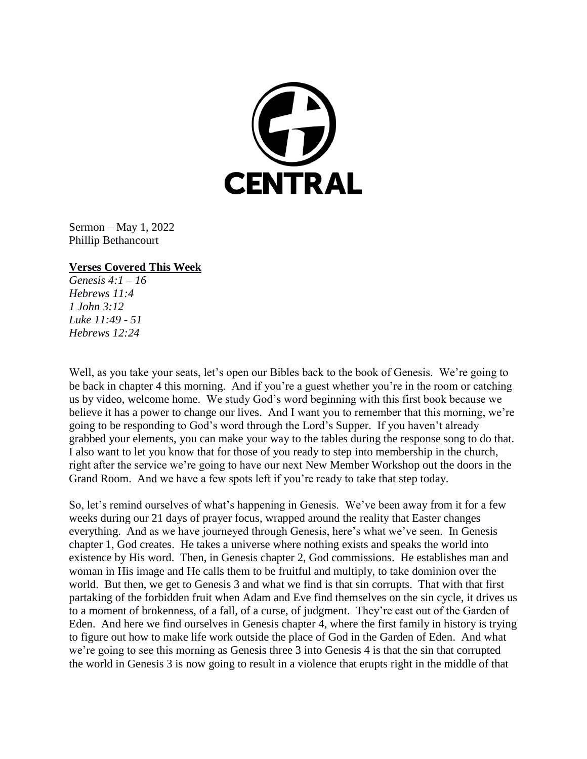

Sermon – May 1, 2022 Phillip Bethancourt

#### **Verses Covered This Week**

*Genesis 4:1 – 16 Hebrews 11:4 1 John 3:12 Luke 11:49 - 51 Hebrews 12:24*

Well, as you take your seats, let's open our Bibles back to the book of Genesis. We're going to be back in chapter 4 this morning. And if you're a guest whether you're in the room or catching us by video, welcome home. We study God's word beginning with this first book because we believe it has a power to change our lives. And I want you to remember that this morning, we're going to be responding to God's word through the Lord's Supper. If you haven't already grabbed your elements, you can make your way to the tables during the response song to do that. I also want to let you know that for those of you ready to step into membership in the church, right after the service we're going to have our next New Member Workshop out the doors in the Grand Room. And we have a few spots left if you're ready to take that step today.

So, let's remind ourselves of what's happening in Genesis. We've been away from it for a few weeks during our 21 days of prayer focus, wrapped around the reality that Easter changes everything. And as we have journeyed through Genesis, here's what we've seen. In Genesis chapter 1, God creates. He takes a universe where nothing exists and speaks the world into existence by His word. Then, in Genesis chapter 2, God commissions. He establishes man and woman in His image and He calls them to be fruitful and multiply, to take dominion over the world. But then, we get to Genesis 3 and what we find is that sin corrupts. That with that first partaking of the forbidden fruit when Adam and Eve find themselves on the sin cycle, it drives us to a moment of brokenness, of a fall, of a curse, of judgment. They're cast out of the Garden of Eden. And here we find ourselves in Genesis chapter 4, where the first family in history is trying to figure out how to make life work outside the place of God in the Garden of Eden. And what we're going to see this morning as Genesis three 3 into Genesis 4 is that the sin that corrupted the world in Genesis 3 is now going to result in a violence that erupts right in the middle of that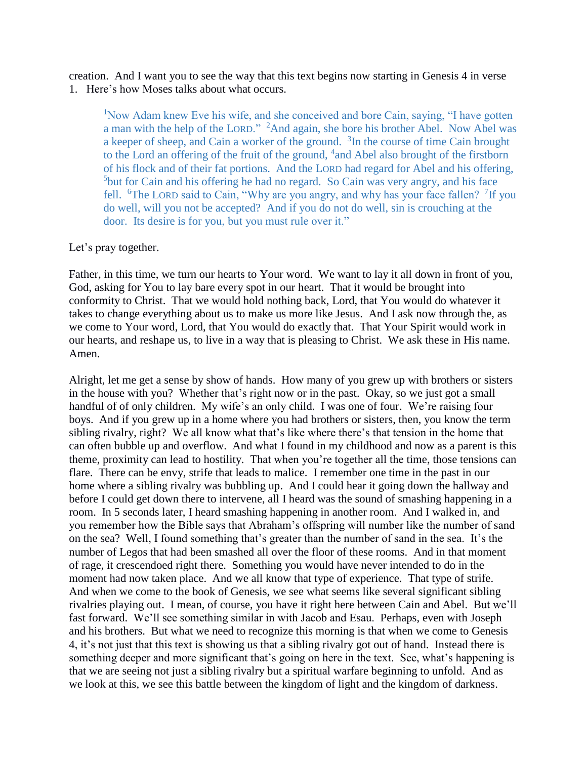creation. And I want you to see the way that this text begins now starting in Genesis 4 in verse 1. Here's how Moses talks about what occurs.

<sup>1</sup>Now Adam knew Eve his wife, and she conceived and bore Cain, saying, "I have gotten a man with the help of the LORD." <sup>2</sup>And again, she bore his brother Abel. Now Abel was a keeper of sheep, and Cain a worker of the ground.  $3$ In the course of time Cain brought to the Lord an offering of the fruit of the ground, <sup>4</sup> and Abel also brought of the firstborn of his flock and of their fat portions. And the LORD had regard for Abel and his offering, <sup>5</sup>but for Cain and his offering he had no regard. So Cain was very angry, and his face fell. <sup>6</sup>The LORD said to Cain, "Why are you angry, and why has your face fallen? <sup>7</sup>If you do well, will you not be accepted? And if you do not do well, sin is crouching at the door. Its desire is for you, but you must rule over it."

#### Let's pray together.

Father, in this time, we turn our hearts to Your word. We want to lay it all down in front of you, God, asking for You to lay bare every spot in our heart. That it would be brought into conformity to Christ. That we would hold nothing back, Lord, that You would do whatever it takes to change everything about us to make us more like Jesus. And I ask now through the, as we come to Your word, Lord, that You would do exactly that. That Your Spirit would work in our hearts, and reshape us, to live in a way that is pleasing to Christ. We ask these in His name. Amen.

Alright, let me get a sense by show of hands. How many of you grew up with brothers or sisters in the house with you? Whether that's right now or in the past. Okay, so we just got a small handful of of only children. My wife's an only child. I was one of four. We're raising four boys. And if you grew up in a home where you had brothers or sisters, then, you know the term sibling rivalry, right? We all know what that's like where there's that tension in the home that can often bubble up and overflow. And what I found in my childhood and now as a parent is this theme, proximity can lead to hostility. That when you're together all the time, those tensions can flare. There can be envy, strife that leads to malice. I remember one time in the past in our home where a sibling rivalry was bubbling up. And I could hear it going down the hallway and before I could get down there to intervene, all I heard was the sound of smashing happening in a room. In 5 seconds later, I heard smashing happening in another room. And I walked in, and you remember how the Bible says that Abraham's offspring will number like the number of sand on the sea? Well, I found something that's greater than the number of sand in the sea. It's the number of Legos that had been smashed all over the floor of these rooms. And in that moment of rage, it crescendoed right there. Something you would have never intended to do in the moment had now taken place. And we all know that type of experience. That type of strife. And when we come to the book of Genesis, we see what seems like several significant sibling rivalries playing out. I mean, of course, you have it right here between Cain and Abel. But we'll fast forward. We'll see something similar in with Jacob and Esau. Perhaps, even with Joseph and his brothers. But what we need to recognize this morning is that when we come to Genesis 4, it's not just that this text is showing us that a sibling rivalry got out of hand. Instead there is something deeper and more significant that's going on here in the text. See, what's happening is that we are seeing not just a sibling rivalry but a spiritual warfare beginning to unfold. And as we look at this, we see this battle between the kingdom of light and the kingdom of darkness.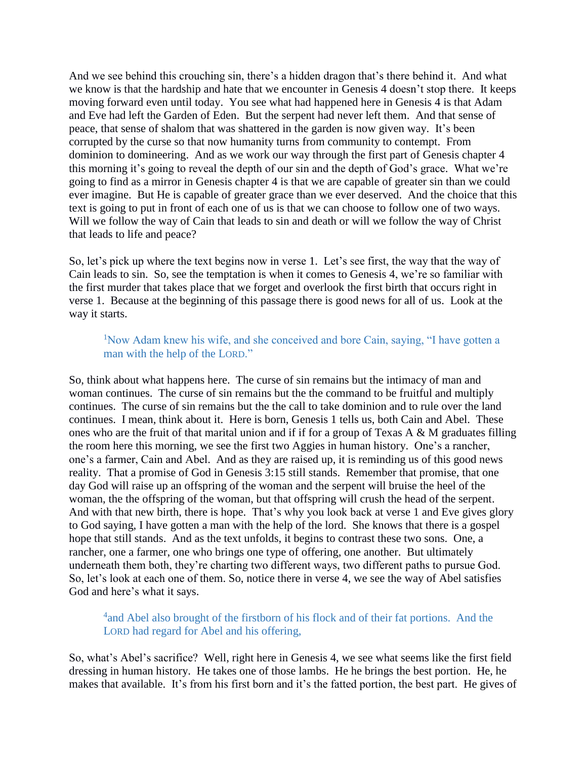And we see behind this crouching sin, there's a hidden dragon that's there behind it. And what we know is that the hardship and hate that we encounter in Genesis 4 doesn't stop there. It keeps moving forward even until today. You see what had happened here in Genesis 4 is that Adam and Eve had left the Garden of Eden. But the serpent had never left them. And that sense of peace, that sense of shalom that was shattered in the garden is now given way. It's been corrupted by the curse so that now humanity turns from community to contempt. From dominion to domineering. And as we work our way through the first part of Genesis chapter 4 this morning it's going to reveal the depth of our sin and the depth of God's grace. What we're going to find as a mirror in Genesis chapter 4 is that we are capable of greater sin than we could ever imagine. But He is capable of greater grace than we ever deserved. And the choice that this text is going to put in front of each one of us is that we can choose to follow one of two ways. Will we follow the way of Cain that leads to sin and death or will we follow the way of Christ that leads to life and peace?

So, let's pick up where the text begins now in verse 1. Let's see first, the way that the way of Cain leads to sin. So, see the temptation is when it comes to Genesis 4, we're so familiar with the first murder that takes place that we forget and overlook the first birth that occurs right in verse 1. Because at the beginning of this passage there is good news for all of us. Look at the way it starts.

## <sup>1</sup>Now Adam knew his wife, and she conceived and bore Cain, saying, "I have gotten a man with the help of the LORD."

So, think about what happens here. The curse of sin remains but the intimacy of man and woman continues. The curse of sin remains but the the command to be fruitful and multiply continues. The curse of sin remains but the the call to take dominion and to rule over the land continues. I mean, think about it. Here is born, Genesis 1 tells us, both Cain and Abel. These ones who are the fruit of that marital union and if if for a group of Texas A & M graduates filling the room here this morning, we see the first two Aggies in human history. One's a rancher, one's a farmer, Cain and Abel. And as they are raised up, it is reminding us of this good news reality. That a promise of God in Genesis 3:15 still stands. Remember that promise, that one day God will raise up an offspring of the woman and the serpent will bruise the heel of the woman, the the offspring of the woman, but that offspring will crush the head of the serpent. And with that new birth, there is hope. That's why you look back at verse 1 and Eve gives glory to God saying, I have gotten a man with the help of the lord. She knows that there is a gospel hope that still stands. And as the text unfolds, it begins to contrast these two sons. One, a rancher, one a farmer, one who brings one type of offering, one another. But ultimately underneath them both, they're charting two different ways, two different paths to pursue God. So, let's look at each one of them. So, notice there in verse 4, we see the way of Abel satisfies God and here's what it says.

## <sup>4</sup> and Abel also brought of the firstborn of his flock and of their fat portions. And the LORD had regard for Abel and his offering,

So, what's Abel's sacrifice? Well, right here in Genesis 4, we see what seems like the first field dressing in human history. He takes one of those lambs. He he brings the best portion. He, he makes that available. It's from his first born and it's the fatted portion, the best part. He gives of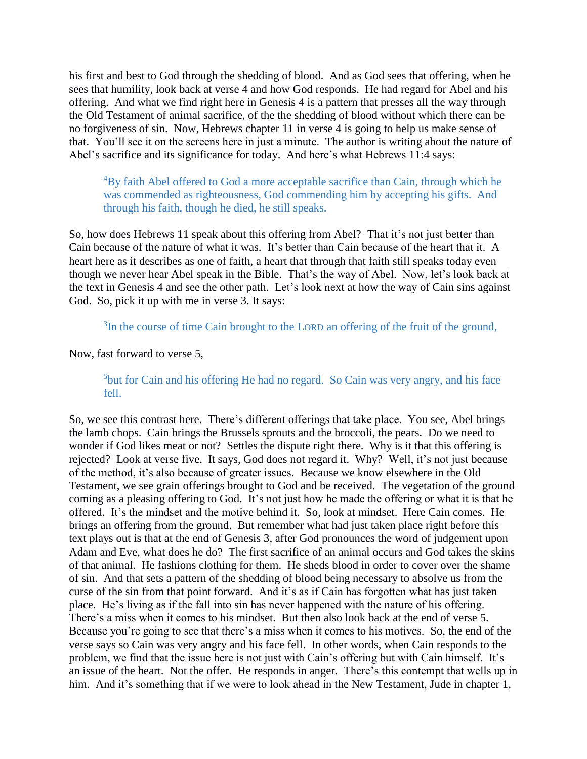his first and best to God through the shedding of blood. And as God sees that offering, when he sees that humility, look back at verse 4 and how God responds. He had regard for Abel and his offering. And what we find right here in Genesis 4 is a pattern that presses all the way through the Old Testament of animal sacrifice, of the the shedding of blood without which there can be no forgiveness of sin. Now, Hebrews chapter 11 in verse 4 is going to help us make sense of that. You'll see it on the screens here in just a minute. The author is writing about the nature of Abel's sacrifice and its significance for today. And here's what Hebrews 11:4 says:

 ${}^{4}$ By faith Abel offered to God a more acceptable sacrifice than Cain, through which he was commended as righteousness, God commending him by accepting his gifts. And through his faith, though he died, he still speaks.

So, how does Hebrews 11 speak about this offering from Abel? That it's not just better than Cain because of the nature of what it was. It's better than Cain because of the heart that it. A heart here as it describes as one of faith, a heart that through that faith still speaks today even though we never hear Abel speak in the Bible. That's the way of Abel. Now, let's look back at the text in Genesis 4 and see the other path. Let's look next at how the way of Cain sins against God. So, pick it up with me in verse 3. It says:

<sup>3</sup>In the course of time Cain brought to the LORD an offering of the fruit of the ground,

Now, fast forward to verse 5,

<sup>5</sup>but for Cain and his offering He had no regard. So Cain was very angry, and his face fell.

So, we see this contrast here. There's different offerings that take place. You see, Abel brings the lamb chops. Cain brings the Brussels sprouts and the broccoli, the pears. Do we need to wonder if God likes meat or not? Settles the dispute right there. Why is it that this offering is rejected? Look at verse five. It says, God does not regard it. Why? Well, it's not just because of the method, it's also because of greater issues. Because we know elsewhere in the Old Testament, we see grain offerings brought to God and be received. The vegetation of the ground coming as a pleasing offering to God. It's not just how he made the offering or what it is that he offered. It's the mindset and the motive behind it. So, look at mindset. Here Cain comes. He brings an offering from the ground. But remember what had just taken place right before this text plays out is that at the end of Genesis 3, after God pronounces the word of judgement upon Adam and Eve, what does he do? The first sacrifice of an animal occurs and God takes the skins of that animal. He fashions clothing for them. He sheds blood in order to cover over the shame of sin. And that sets a pattern of the shedding of blood being necessary to absolve us from the curse of the sin from that point forward. And it's as if Cain has forgotten what has just taken place. He's living as if the fall into sin has never happened with the nature of his offering. There's a miss when it comes to his mindset. But then also look back at the end of verse 5. Because you're going to see that there's a miss when it comes to his motives. So, the end of the verse says so Cain was very angry and his face fell. In other words, when Cain responds to the problem, we find that the issue here is not just with Cain's offering but with Cain himself. It's an issue of the heart. Not the offer. He responds in anger. There's this contempt that wells up in him. And it's something that if we were to look ahead in the New Testament, Jude in chapter 1,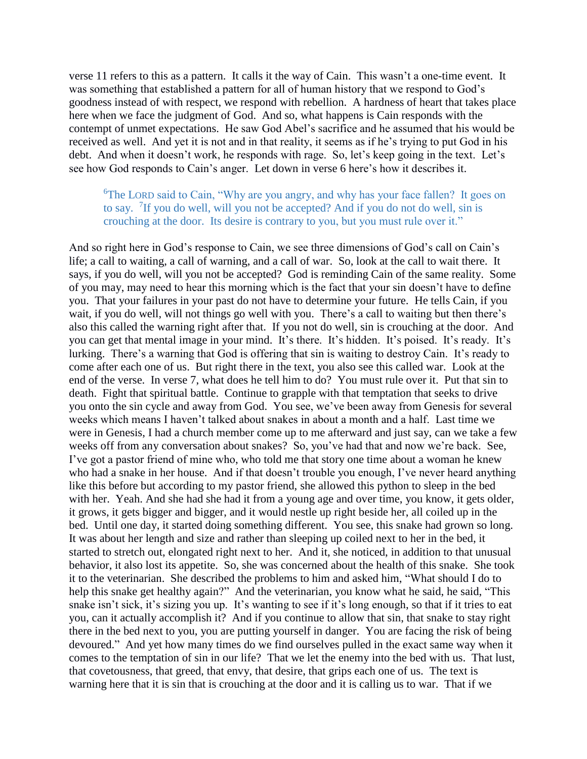verse 11 refers to this as a pattern. It calls it the way of Cain. This wasn't a one-time event. It was something that established a pattern for all of human history that we respond to God's goodness instead of with respect, we respond with rebellion. A hardness of heart that takes place here when we face the judgment of God. And so, what happens is Cain responds with the contempt of unmet expectations. He saw God Abel's sacrifice and he assumed that his would be received as well. And yet it is not and in that reality, it seems as if he's trying to put God in his debt. And when it doesn't work, he responds with rage. So, let's keep going in the text. Let's see how God responds to Cain's anger. Let down in verse 6 here's how it describes it.

# <sup>6</sup>The LORD said to Cain, "Why are you angry, and why has your face fallen? It goes on to say. <sup>7</sup>If you do well, will you not be accepted? And if you do not do well, sin is crouching at the door. Its desire is contrary to you, but you must rule over it."

And so right here in God's response to Cain, we see three dimensions of God's call on Cain's life; a call to waiting, a call of warning, and a call of war. So, look at the call to wait there. It says, if you do well, will you not be accepted? God is reminding Cain of the same reality. Some of you may, may need to hear this morning which is the fact that your sin doesn't have to define you. That your failures in your past do not have to determine your future. He tells Cain, if you wait, if you do well, will not things go well with you. There's a call to waiting but then there's also this called the warning right after that. If you not do well, sin is crouching at the door. And you can get that mental image in your mind. It's there. It's hidden. It's poised. It's ready. It's lurking. There's a warning that God is offering that sin is waiting to destroy Cain. It's ready to come after each one of us. But right there in the text, you also see this called war. Look at the end of the verse. In verse 7, what does he tell him to do? You must rule over it. Put that sin to death. Fight that spiritual battle. Continue to grapple with that temptation that seeks to drive you onto the sin cycle and away from God. You see, we've been away from Genesis for several weeks which means I haven't talked about snakes in about a month and a half. Last time we were in Genesis, I had a church member come up to me afterward and just say, can we take a few weeks off from any conversation about snakes? So, you've had that and now we're back. See, I've got a pastor friend of mine who, who told me that story one time about a woman he knew who had a snake in her house. And if that doesn't trouble you enough, I've never heard anything like this before but according to my pastor friend, she allowed this python to sleep in the bed with her. Yeah. And she had she had it from a young age and over time, you know, it gets older, it grows, it gets bigger and bigger, and it would nestle up right beside her, all coiled up in the bed. Until one day, it started doing something different. You see, this snake had grown so long. It was about her length and size and rather than sleeping up coiled next to her in the bed, it started to stretch out, elongated right next to her. And it, she noticed, in addition to that unusual behavior, it also lost its appetite. So, she was concerned about the health of this snake. She took it to the veterinarian. She described the problems to him and asked him, "What should I do to help this snake get healthy again?" And the veterinarian, you know what he said, he said, "This snake isn't sick, it's sizing you up. It's wanting to see if it's long enough, so that if it tries to eat you, can it actually accomplish it? And if you continue to allow that sin, that snake to stay right there in the bed next to you, you are putting yourself in danger. You are facing the risk of being devoured." And yet how many times do we find ourselves pulled in the exact same way when it comes to the temptation of sin in our life? That we let the enemy into the bed with us. That lust, that covetousness, that greed, that envy, that desire, that grips each one of us. The text is warning here that it is sin that is crouching at the door and it is calling us to war. That if we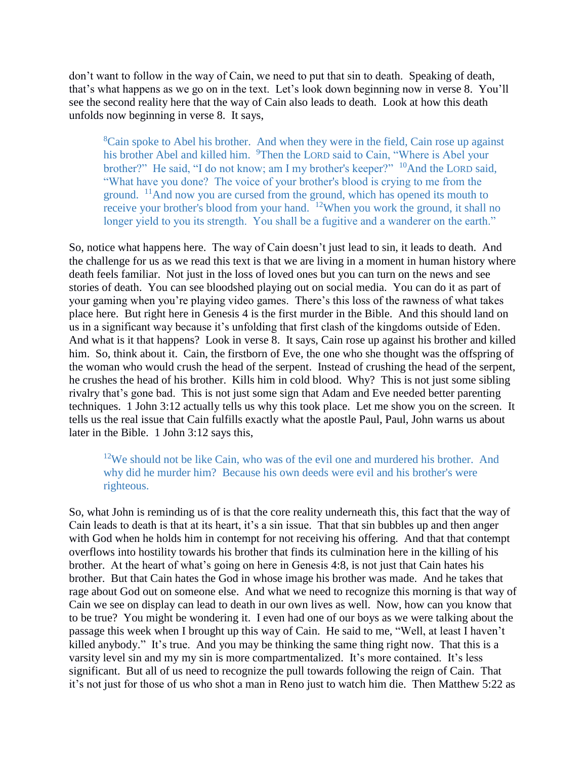don't want to follow in the way of Cain, we need to put that sin to death. Speaking of death, that's what happens as we go on in the text. Let's look down beginning now in verse 8. You'll see the second reality here that the way of Cain also leads to death. Look at how this death unfolds now beginning in verse 8. It says,

<sup>8</sup>Cain spoke to Abel his brother. And when they were in the field, Cain rose up against his brother Abel and killed him. <sup>9</sup>Then the LORD said to Cain, "Where is Abel your brother?" He said, "I do not know; am I my brother's keeper?" <sup>10</sup>And the LORD said, "What have you done? The voice of your brother's blood is crying to me from the ground. <sup>11</sup>And now you are cursed from the ground, which has opened its mouth to receive your brother's blood from your hand. <sup>12</sup>When you work the ground, it shall no longer yield to you its strength. You shall be a fugitive and a wanderer on the earth."

So, notice what happens here. The way of Cain doesn't just lead to sin, it leads to death. And the challenge for us as we read this text is that we are living in a moment in human history where death feels familiar. Not just in the loss of loved ones but you can turn on the news and see stories of death. You can see bloodshed playing out on social media. You can do it as part of your gaming when you're playing video games. There's this loss of the rawness of what takes place here. But right here in Genesis 4 is the first murder in the Bible. And this should land on us in a significant way because it's unfolding that first clash of the kingdoms outside of Eden. And what is it that happens? Look in verse 8. It says, Cain rose up against his brother and killed him. So, think about it. Cain, the firstborn of Eve, the one who she thought was the offspring of the woman who would crush the head of the serpent. Instead of crushing the head of the serpent, he crushes the head of his brother. Kills him in cold blood. Why? This is not just some sibling rivalry that's gone bad. This is not just some sign that Adam and Eve needed better parenting techniques. 1 John 3:12 actually tells us why this took place. Let me show you on the screen. It tells us the real issue that Cain fulfills exactly what the apostle Paul, Paul, John warns us about later in the Bible. 1 John 3:12 says this,

 $12$ We should not be like Cain, who was of the evil one and murdered his brother. And why did he murder him? Because his own deeds were evil and his brother's were righteous.

So, what John is reminding us of is that the core reality underneath this, this fact that the way of Cain leads to death is that at its heart, it's a sin issue. That that sin bubbles up and then anger with God when he holds him in contempt for not receiving his offering. And that that contempt overflows into hostility towards his brother that finds its culmination here in the killing of his brother. At the heart of what's going on here in Genesis 4:8, is not just that Cain hates his brother. But that Cain hates the God in whose image his brother was made. And he takes that rage about God out on someone else. And what we need to recognize this morning is that way of Cain we see on display can lead to death in our own lives as well. Now, how can you know that to be true? You might be wondering it. I even had one of our boys as we were talking about the passage this week when I brought up this way of Cain. He said to me, "Well, at least I haven't killed anybody." It's true. And you may be thinking the same thing right now. That this is a varsity level sin and my my sin is more compartmentalized. It's more contained. It's less significant. But all of us need to recognize the pull towards following the reign of Cain. That it's not just for those of us who shot a man in Reno just to watch him die. Then Matthew 5:22 as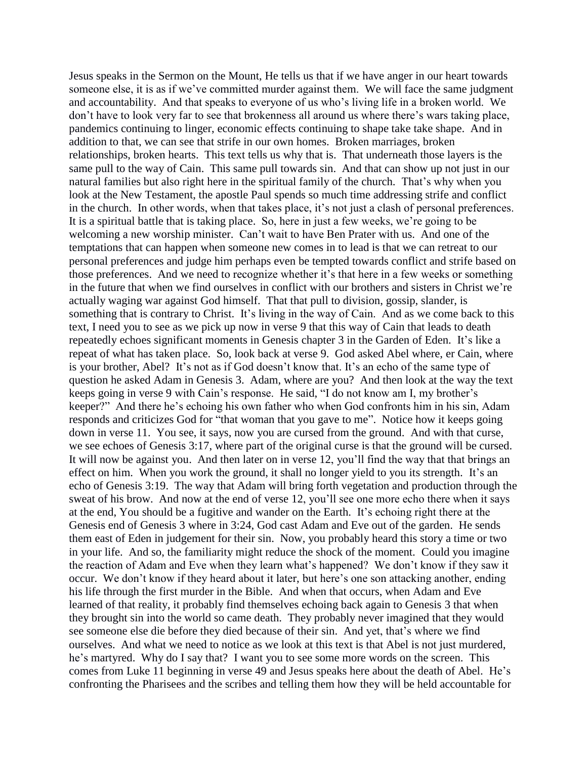Jesus speaks in the Sermon on the Mount, He tells us that if we have anger in our heart towards someone else, it is as if we've committed murder against them. We will face the same judgment and accountability. And that speaks to everyone of us who's living life in a broken world. We don't have to look very far to see that brokenness all around us where there's wars taking place, pandemics continuing to linger, economic effects continuing to shape take take shape. And in addition to that, we can see that strife in our own homes. Broken marriages, broken relationships, broken hearts. This text tells us why that is. That underneath those layers is the same pull to the way of Cain. This same pull towards sin. And that can show up not just in our natural families but also right here in the spiritual family of the church. That's why when you look at the New Testament, the apostle Paul spends so much time addressing strife and conflict in the church. In other words, when that takes place, it's not just a clash of personal preferences. It is a spiritual battle that is taking place. So, here in just a few weeks, we're going to be welcoming a new worship minister. Can't wait to have Ben Prater with us. And one of the temptations that can happen when someone new comes in to lead is that we can retreat to our personal preferences and judge him perhaps even be tempted towards conflict and strife based on those preferences. And we need to recognize whether it's that here in a few weeks or something in the future that when we find ourselves in conflict with our brothers and sisters in Christ we're actually waging war against God himself. That that pull to division, gossip, slander, is something that is contrary to Christ. It's living in the way of Cain. And as we come back to this text, I need you to see as we pick up now in verse 9 that this way of Cain that leads to death repeatedly echoes significant moments in Genesis chapter 3 in the Garden of Eden. It's like a repeat of what has taken place. So, look back at verse 9. God asked Abel where, er Cain, where is your brother, Abel? It's not as if God doesn't know that. It's an echo of the same type of question he asked Adam in Genesis 3. Adam, where are you? And then look at the way the text keeps going in verse 9 with Cain's response. He said, "I do not know am I, my brother's keeper?" And there he's echoing his own father who when God confronts him in his sin, Adam responds and criticizes God for "that woman that you gave to me". Notice how it keeps going down in verse 11. You see, it says, now you are cursed from the ground. And with that curse, we see echoes of Genesis 3:17, where part of the original curse is that the ground will be cursed. It will now be against you. And then later on in verse 12, you'll find the way that that brings an effect on him. When you work the ground, it shall no longer yield to you its strength. It's an echo of Genesis 3:19. The way that Adam will bring forth vegetation and production through the sweat of his brow. And now at the end of verse 12, you'll see one more echo there when it says at the end, You should be a fugitive and wander on the Earth. It's echoing right there at the Genesis end of Genesis 3 where in 3:24, God cast Adam and Eve out of the garden. He sends them east of Eden in judgement for their sin. Now, you probably heard this story a time or two in your life. And so, the familiarity might reduce the shock of the moment. Could you imagine the reaction of Adam and Eve when they learn what's happened? We don't know if they saw it occur. We don't know if they heard about it later, but here's one son attacking another, ending his life through the first murder in the Bible. And when that occurs, when Adam and Eve learned of that reality, it probably find themselves echoing back again to Genesis 3 that when they brought sin into the world so came death. They probably never imagined that they would see someone else die before they died because of their sin. And yet, that's where we find ourselves. And what we need to notice as we look at this text is that Abel is not just murdered, he's martyred. Why do I say that? I want you to see some more words on the screen. This comes from Luke 11 beginning in verse 49 and Jesus speaks here about the death of Abel. He's confronting the Pharisees and the scribes and telling them how they will be held accountable for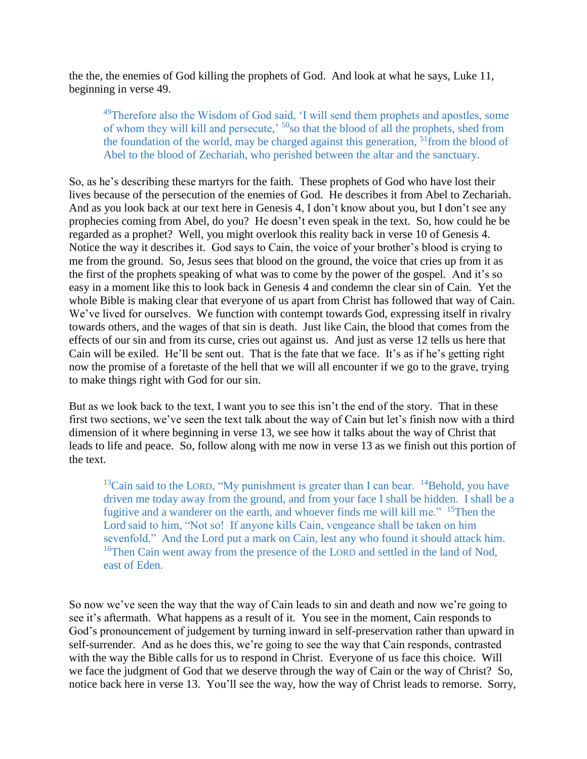the the, the enemies of God killing the prophets of God. And look at what he says, Luke 11, beginning in verse 49.

<sup>49</sup>Therefore also the Wisdom of God said, 'I will send them prophets and apostles, some of whom they will kill and persecute,<sup>50</sup>so that the blood of all the prophets, shed from the foundation of the world, may be charged against this generation, <sup>51</sup>from the blood of Abel to the blood of Zechariah, who perished between the altar and the sanctuary.

So, as he's describing these martyrs for the faith. These prophets of God who have lost their lives because of the persecution of the enemies of God. He describes it from Abel to Zechariah. And as you look back at our text here in Genesis 4, I don't know about you, but I don't see any prophecies coming from Abel, do you? He doesn't even speak in the text. So, how could he be regarded as a prophet? Well, you might overlook this reality back in verse 10 of Genesis 4. Notice the way it describes it. God says to Cain, the voice of your brother's blood is crying to me from the ground. So, Jesus sees that blood on the ground, the voice that cries up from it as the first of the prophets speaking of what was to come by the power of the gospel. And it's so easy in a moment like this to look back in Genesis 4 and condemn the clear sin of Cain. Yet the whole Bible is making clear that everyone of us apart from Christ has followed that way of Cain. We've lived for ourselves. We function with contempt towards God, expressing itself in rivalry towards others, and the wages of that sin is death. Just like Cain, the blood that comes from the effects of our sin and from its curse, cries out against us. And just as verse 12 tells us here that Cain will be exiled. He'll be sent out. That is the fate that we face. It's as if he's getting right now the promise of a foretaste of the hell that we will all encounter if we go to the grave, trying to make things right with God for our sin.

But as we look back to the text, I want you to see this isn't the end of the story. That in these first two sections, we've seen the text talk about the way of Cain but let's finish now with a third dimension of it where beginning in verse 13, we see how it talks about the way of Christ that leads to life and peace. So, follow along with me now in verse 13 as we finish out this portion of the text.

 $13$ Cain said to the LORD, "My punishment is greater than I can bear.  $14$ Behold, you have driven me today away from the ground, and from your face I shall be hidden. I shall be a fugitive and a wanderer on the earth, and whoever finds me will kill me." <sup>15</sup>Then the Lord said to him, "Not so! If anyone kills Cain, vengeance shall be taken on him sevenfold." And the Lord put a mark on Cain, lest any who found it should attack him. <sup>16</sup>Then Cain went away from the presence of the LORD and settled in the land of Nod, east of Eden.

So now we've seen the way that the way of Cain leads to sin and death and now we're going to see it's aftermath. What happens as a result of it. You see in the moment, Cain responds to God's pronouncement of judgement by turning inward in self-preservation rather than upward in self-surrender. And as he does this, we're going to see the way that Cain responds, contrasted with the way the Bible calls for us to respond in Christ. Everyone of us face this choice. Will we face the judgment of God that we deserve through the way of Cain or the way of Christ? So, notice back here in verse 13. You'll see the way, how the way of Christ leads to remorse. Sorry,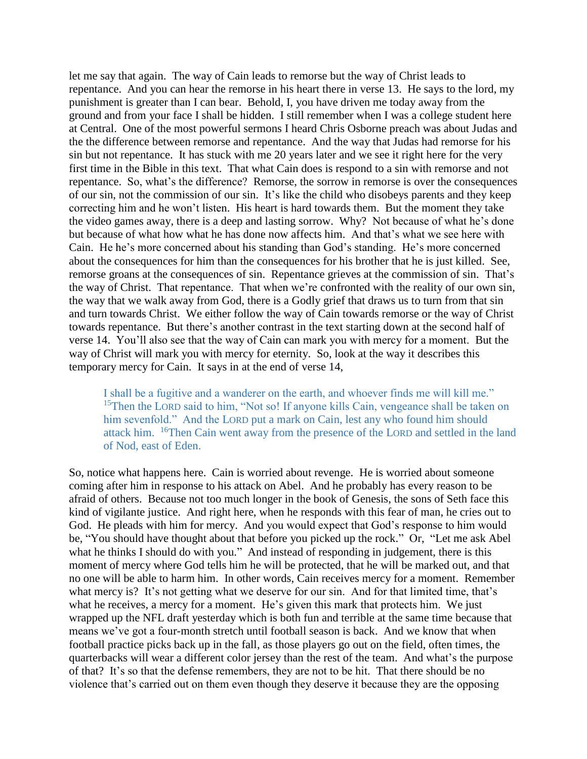let me say that again. The way of Cain leads to remorse but the way of Christ leads to repentance. And you can hear the remorse in his heart there in verse 13. He says to the lord, my punishment is greater than I can bear. Behold, I, you have driven me today away from the ground and from your face I shall be hidden. I still remember when I was a college student here at Central. One of the most powerful sermons I heard Chris Osborne preach was about Judas and the the difference between remorse and repentance. And the way that Judas had remorse for his sin but not repentance. It has stuck with me 20 years later and we see it right here for the very first time in the Bible in this text. That what Cain does is respond to a sin with remorse and not repentance. So, what's the difference? Remorse, the sorrow in remorse is over the consequences of our sin, not the commission of our sin. It's like the child who disobeys parents and they keep correcting him and he won't listen. His heart is hard towards them. But the moment they take the video games away, there is a deep and lasting sorrow. Why? Not because of what he's done but because of what how what he has done now affects him. And that's what we see here with Cain. He he's more concerned about his standing than God's standing. He's more concerned about the consequences for him than the consequences for his brother that he is just killed. See, remorse groans at the consequences of sin. Repentance grieves at the commission of sin. That's the way of Christ. That repentance. That when we're confronted with the reality of our own sin, the way that we walk away from God, there is a Godly grief that draws us to turn from that sin and turn towards Christ. We either follow the way of Cain towards remorse or the way of Christ towards repentance. But there's another contrast in the text starting down at the second half of verse 14. You'll also see that the way of Cain can mark you with mercy for a moment. But the way of Christ will mark you with mercy for eternity. So, look at the way it describes this temporary mercy for Cain. It says in at the end of verse 14,

I shall be a fugitive and a wanderer on the earth, and whoever finds me will kill me." <sup>15</sup>Then the LORD said to him, "Not so! If anyone kills Cain, vengeance shall be taken on him sevenfold." And the LORD put a mark on Cain, lest any who found him should attack him. <sup>16</sup>Then Cain went away from the presence of the LORD and settled in the land of Nod, east of Eden.

So, notice what happens here. Cain is worried about revenge. He is worried about someone coming after him in response to his attack on Abel. And he probably has every reason to be afraid of others. Because not too much longer in the book of Genesis, the sons of Seth face this kind of vigilante justice. And right here, when he responds with this fear of man, he cries out to God. He pleads with him for mercy. And you would expect that God's response to him would be, "You should have thought about that before you picked up the rock." Or, "Let me ask Abel what he thinks I should do with you." And instead of responding in judgement, there is this moment of mercy where God tells him he will be protected, that he will be marked out, and that no one will be able to harm him. In other words, Cain receives mercy for a moment. Remember what mercy is? It's not getting what we deserve for our sin. And for that limited time, that's what he receives, a mercy for a moment. He's given this mark that protects him. We just wrapped up the NFL draft yesterday which is both fun and terrible at the same time because that means we've got a four-month stretch until football season is back. And we know that when football practice picks back up in the fall, as those players go out on the field, often times, the quarterbacks will wear a different color jersey than the rest of the team. And what's the purpose of that? It's so that the defense remembers, they are not to be hit. That there should be no violence that's carried out on them even though they deserve it because they are the opposing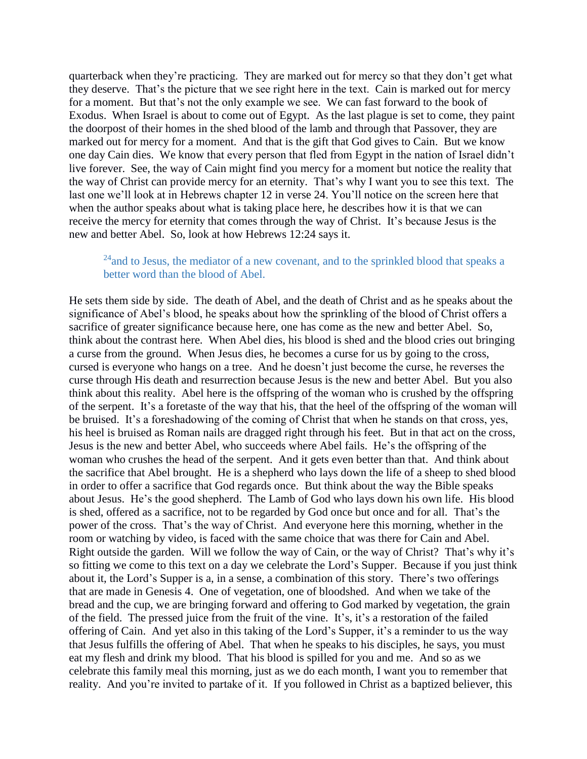quarterback when they're practicing. They are marked out for mercy so that they don't get what they deserve. That's the picture that we see right here in the text. Cain is marked out for mercy for a moment. But that's not the only example we see. We can fast forward to the book of Exodus. When Israel is about to come out of Egypt. As the last plague is set to come, they paint the doorpost of their homes in the shed blood of the lamb and through that Passover, they are marked out for mercy for a moment. And that is the gift that God gives to Cain. But we know one day Cain dies. We know that every person that fled from Egypt in the nation of Israel didn't live forever. See, the way of Cain might find you mercy for a moment but notice the reality that the way of Christ can provide mercy for an eternity. That's why I want you to see this text. The last one we'll look at in Hebrews chapter 12 in verse 24. You'll notice on the screen here that when the author speaks about what is taking place here, he describes how it is that we can receive the mercy for eternity that comes through the way of Christ. It's because Jesus is the new and better Abel. So, look at how Hebrews 12:24 says it.

#### $^{24}$ and to Jesus, the mediator of a new covenant, and to the sprinkled blood that speaks a better word than the blood of Abel.

He sets them side by side. The death of Abel, and the death of Christ and as he speaks about the significance of Abel's blood, he speaks about how the sprinkling of the blood of Christ offers a sacrifice of greater significance because here, one has come as the new and better Abel. So, think about the contrast here. When Abel dies, his blood is shed and the blood cries out bringing a curse from the ground. When Jesus dies, he becomes a curse for us by going to the cross, cursed is everyone who hangs on a tree. And he doesn't just become the curse, he reverses the curse through His death and resurrection because Jesus is the new and better Abel. But you also think about this reality. Abel here is the offspring of the woman who is crushed by the offspring of the serpent. It's a foretaste of the way that his, that the heel of the offspring of the woman will be bruised. It's a foreshadowing of the coming of Christ that when he stands on that cross, yes, his heel is bruised as Roman nails are dragged right through his feet. But in that act on the cross, Jesus is the new and better Abel, who succeeds where Abel fails. He's the offspring of the woman who crushes the head of the serpent. And it gets even better than that. And think about the sacrifice that Abel brought. He is a shepherd who lays down the life of a sheep to shed blood in order to offer a sacrifice that God regards once. But think about the way the Bible speaks about Jesus. He's the good shepherd. The Lamb of God who lays down his own life. His blood is shed, offered as a sacrifice, not to be regarded by God once but once and for all. That's the power of the cross. That's the way of Christ. And everyone here this morning, whether in the room or watching by video, is faced with the same choice that was there for Cain and Abel. Right outside the garden. Will we follow the way of Cain, or the way of Christ? That's why it's so fitting we come to this text on a day we celebrate the Lord's Supper. Because if you just think about it, the Lord's Supper is a, in a sense, a combination of this story. There's two offerings that are made in Genesis 4. One of vegetation, one of bloodshed. And when we take of the bread and the cup, we are bringing forward and offering to God marked by vegetation, the grain of the field. The pressed juice from the fruit of the vine. It's, it's a restoration of the failed offering of Cain. And yet also in this taking of the Lord's Supper, it's a reminder to us the way that Jesus fulfills the offering of Abel. That when he speaks to his disciples, he says, you must eat my flesh and drink my blood. That his blood is spilled for you and me. And so as we celebrate this family meal this morning, just as we do each month, I want you to remember that reality. And you're invited to partake of it. If you followed in Christ as a baptized believer, this